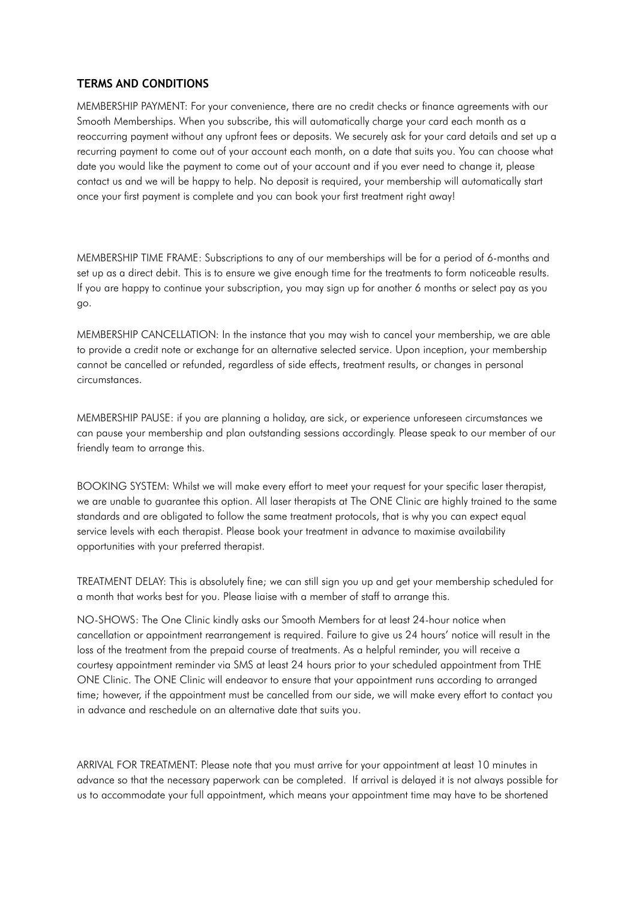## **TERMS AND CONDITIONS**

MEMBERSHIP PAYMENT: For your convenience, there are no credit checks or finance agreements with our Smooth Memberships. When you subscribe, this will automatically charge your card each month as a reoccurring payment without any upfront fees or deposits. We securely ask for your card details and set up a recurring payment to come out of your account each month, on a date that suits you. You can choose what date you would like the payment to come out of your account and if you ever need to change it, please contact us and we will be happy to help. No deposit is required, your membership will automatically start once your first payment is complete and you can book your first treatment right away!

MEMBERSHIP TIME FRAME: Subscriptions to any of our memberships will be for a period of 6-months and set up as a direct debit. This is to ensure we give enough time for the treatments to form noticeable results. If you are happy to continue your subscription, you may sign up for another 6 months or select pay as you go.

MEMBERSHIP CANCELLATION: In the instance that you may wish to cancel your membership, we are able to provide a credit note or exchange for an alternative selected service. Upon inception, your membership cannot be cancelled or refunded, regardless of side effects, treatment results, or changes in personal circumstances.

MEMBERSHIP PAUSE: if you are planning a holiday, are sick, or experience unforeseen circumstances we can pause your membership and plan outstanding sessions accordingly. Please speak to our member of our friendly team to arrange this.

BOOKING SYSTEM: Whilst we will make every effort to meet your request for your specific laser therapist, we are unable to guarantee this option. All laser therapists at The ONE Clinic are highly trained to the same standards and are obligated to follow the same treatment protocols, that is why you can expect equal service levels with each therapist. Please book your treatment in advance to maximise availability opportunities with your preferred therapist.

TREATMENT DELAY: This is absolutely fine; we can still sign you up and get your membership scheduled for a month that works best for you. Please liaise with a member of staff to arrange this.

NO-SHOWS: The One Clinic kindly asks our Smooth Members for at least 24-hour notice when cancellation or appointment rearrangement is required. Failure to give us 24 hours' notice will result in the loss of the treatment from the prepaid course of treatments. As a helpful reminder, you will receive a courtesy appointment reminder via SMS at least 24 hours prior to your scheduled appointment from THE ONE Clinic. The ONE Clinic will endeavor to ensure that your appointment runs according to arranged time; however, if the appointment must be cancelled from our side, we will make every effort to contact you in advance and reschedule on an alternative date that suits you.

ARRIVAL FOR TREATMENT: Please note that you must arrive for your appointment at least 10 minutes in advance so that the necessary paperwork can be completed. If arrival is delayed it is not always possible for us to accommodate your full appointment, which means your appointment time may have to be shortened